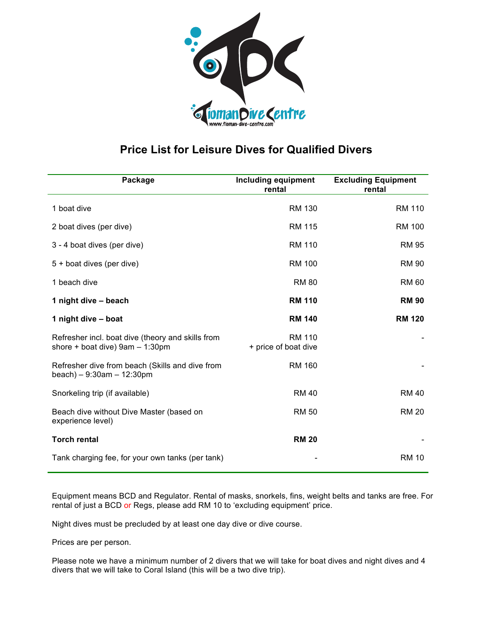

## **Price List for Leisure Dives for Qualified Divers**

| Package                                                                              | <b>Including equipment</b><br>rental  | <b>Excluding Equipment</b><br>rental |
|--------------------------------------------------------------------------------------|---------------------------------------|--------------------------------------|
| 1 boat dive                                                                          | <b>RM 130</b>                         | <b>RM 110</b>                        |
| 2 boat dives (per dive)                                                              | <b>RM 115</b>                         | <b>RM 100</b>                        |
| 3 - 4 boat dives (per dive)                                                          | <b>RM 110</b>                         | <b>RM 95</b>                         |
| 5 + boat dives (per dive)                                                            | <b>RM 100</b>                         | <b>RM 90</b>                         |
| 1 beach dive                                                                         | <b>RM 80</b>                          | <b>RM 60</b>                         |
| 1 night dive - beach                                                                 | <b>RM 110</b>                         | <b>RM 90</b>                         |
| 1 night dive - boat                                                                  | <b>RM 140</b>                         | <b>RM 120</b>                        |
| Refresher incl. boat dive (theory and skills from<br>shore + boat dive) 9am - 1:30pm | <b>RM 110</b><br>+ price of boat dive |                                      |
| Refresher dive from beach (Skills and dive from<br>$beach$ ) - 9:30am - 12:30pm      | <b>RM 160</b>                         |                                      |
| Snorkeling trip (if available)                                                       | <b>RM 40</b>                          | <b>RM 40</b>                         |
| Beach dive without Dive Master (based on<br>experience level)                        | <b>RM 50</b>                          | <b>RM 20</b>                         |
| <b>Torch rental</b>                                                                  | <b>RM 20</b>                          |                                      |
| Tank charging fee, for your own tanks (per tank)                                     |                                       | <b>RM 10</b>                         |

Equipment means BCD and Regulator. Rental of masks, snorkels, fins, weight belts and tanks are free. For rental of just a BCD or Regs, please add RM 10 to 'excluding equipment' price.

Night dives must be precluded by at least one day dive or dive course.

Prices are per person.

Please note we have a minimum number of 2 divers that we will take for boat dives and night dives and 4 divers that we will take to Coral Island (this will be a two dive trip).